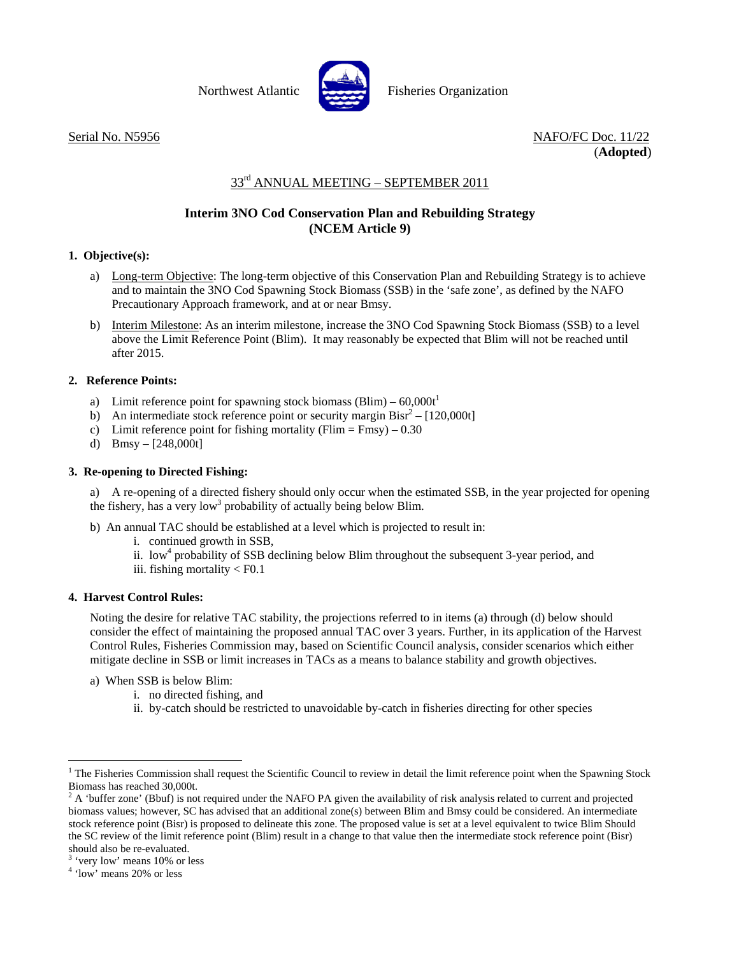

Northwest Atlantic **Report Fisheries Organization** 

Serial No. N5956 NAFO/FC Doc. 11/22 (**Adopted**)

# 33<sup>rd</sup> ANNUAL MEETING - SEPTEMBER 2011

## **Interim 3NO Cod Conservation Plan and Rebuilding Strategy (NCEM Article 9)**

#### **1. Objective(s):**

- a) Long-term Objective: The long-term objective of this Conservation Plan and Rebuilding Strategy is to achieve and to maintain the 3NO Cod Spawning Stock Biomass (SSB) in the 'safe zone', as defined by the NAFO Precautionary Approach framework, and at or near Bmsy.
- b) Interim Milestone: As an interim milestone, increase the 3NO Cod Spawning Stock Biomass (SSB) to a level above the Limit Reference Point (Blim). It may reasonably be expected that Blim will not be reached until after 2015.

#### **2. Reference Points:**

- a) Limit reference point for spawning stock biomass (Blim)  $60.000t<sup>1</sup>$
- b) An intermediate stock reference point or security margin  $Bisr^2 [120,000t]$
- c) Limit reference point for fishing mortality (Flim = Fmsy)  $0.30$
- d)  $Bmsy [248,000t]$

#### **3. Re-opening to Directed Fishing:**

a) A re-opening of a directed fishery should only occur when the estimated SSB, in the year projected for opening the fishery, has a very low<sup>3</sup> probability of actually being below Blim.

- b) An annual TAC should be established at a level which is projected to result in:
	- i. continued growth in SSB,
	- ii. low<sup>4</sup> probability of SSB declining below Blim throughout the subsequent 3-year period, and
	- iii. fishing mortality < F0.1

### **4. Harvest Control Rules:**

Noting the desire for relative TAC stability, the projections referred to in items (a) through (d) below should consider the effect of maintaining the proposed annual TAC over 3 years. Further, in its application of the Harvest Control Rules, Fisheries Commission may, based on Scientific Council analysis, consider scenarios which either mitigate decline in SSB or limit increases in TACs as a means to balance stability and growth objectives.

- a) When SSB is below Blim:
	- i. no directed fishing, and
	- ii. by-catch should be restricted to unavoidable by-catch in fisheries directing for other species

l

<sup>&</sup>lt;sup>1</sup> The Fisheries Commission shall request the Scientific Council to review in detail the limit reference point when the Spawning Stock Biomass has reached 30,000t. 2

 $^2$  A 'buffer zone' (Bbuf) is not required under the NAFO PA given the availability of risk analysis related to current and projected biomass values; however, SC has advised that an additional zone(s) between Blim and Bmsy could be considered. An intermediate stock reference point (Bisr) is proposed to delineate this zone. The proposed value is set at a level equivalent to twice Blim Should the SC review of the limit reference point (Blim) result in a change to that value then the intermediate stock reference point (Bisr) should also be re-evaluated.

<sup>&</sup>lt;sup>3</sup> 'very low' means 10% or less

<sup>4</sup> 'low' means 20% or less